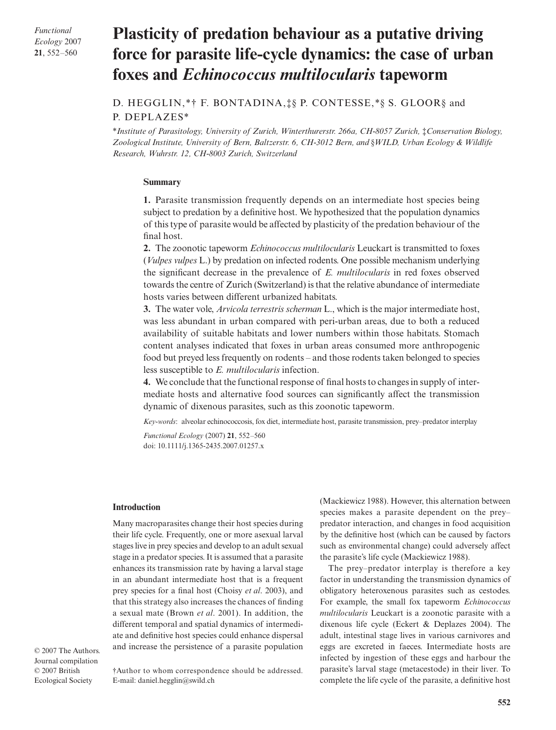# **Plasticity of predation behaviour as a putative driving force for parasite life-cycle dynamics: the case of urban foxes and** *Echinococcus multilocularis* **tapeworm**

D. HEGGLIN,\*† F. BONTADINA,‡§ P. CONTESSE,\*§ S. GLOOR§ and P. DEPLAZES\*

\**Institute of Parasitology, University of Zurich, Winterthurerstr. 266a, CH-8057 Zurich,* ‡*Conservation Biology, Zoological Institute, University of Bern, Baltzerstr. 6, CH-3012 Bern, and* §*WILD, Urban Ecology & Wildlife Research, Wuhrstr. 12, CH-8003 Zurich, Switzerland*

### **Summary**

**1.** Parasite transmission frequently depends on an intermediate host species being subject to predation by a definitive host. We hypothesized that the population dynamics of this type of parasite would be affected by plasticity of the predation behaviour of the final host.

**2.** The zoonotic tapeworm *Echinococcus multilocularis* Leuckart is transmitted to foxes (*Vulpes vulpes* L.) by predation on infected rodents. One possible mechanism underlying the significant decrease in the prevalence of *E. multilocularis* in red foxes observed towards the centre of Zurich (Switzerland) is that the relative abundance of intermediate hosts varies between different urbanized habitats.

**3.** The water vole, *Arvicola terrestris scherman* L., which is the major intermediate host, was less abundant in urban compared with peri-urban areas, due to both a reduced availability of suitable habitats and lower numbers within those habitats. Stomach content analyses indicated that foxes in urban areas consumed more anthropogenic food but preyed less frequently on rodents – and those rodents taken belonged to species less susceptible to *E. multilocularis* infection.

**4.** We conclude that the functional response of final hosts to changes in supply of intermediate hosts and alternative food sources can significantly affect the transmission dynamic of dixenous parasites, such as this zoonotic tapeworm.

*Key-words*: alveolar echinococcosis, fox diet, intermediate host, parasite transmission, prey–predator interplay

*Functional Ecology* (2007) **21**, 552–560 doi: 10.1111/j.1365-2435.2007.01257.x

## **Introduction**

Many macroparasites change their host species during their life cycle. Frequently, one or more asexual larval stages live in prey species and develop to an adult sexual stage in a predator species. It is assumed that a parasite enhances its transmission rate by having a larval stage in an abundant intermediate host that is a frequent prey species for a final host (Choisy *et al*. 2003), and that this strategy also increases the chances of finding a sexual mate (Brown *et al*. 2001). In addition, the different temporal and spatial dynamics of intermediate and definitive host species could enhance dispersal and increase the persistence of a parasite population

© 2007 The Authors. Journal compilation © 2007 British Ecological Society

†Author to whom correspondence should be addressed. E-mail: daniel.hegglin@swild.ch

(Mackiewicz 1988). However, this alternation between species makes a parasite dependent on the prey– predator interaction, and changes in food acquisition by the definitive host (which can be caused by factors such as environmental change) could adversely affect the parasite's life cycle (Mackiewicz 1988).

The prey–predator interplay is therefore a key factor in understanding the transmission dynamics of obligatory heteroxenous parasites such as cestodes. For example, the small fox tapeworm *Echinococcus multilocularis* Leuckart is a zoonotic parasite with a dixenous life cycle (Eckert & Deplazes 2004). The adult, intestinal stage lives in various carnivores and eggs are excreted in faeces. Intermediate hosts are infected by ingestion of these eggs and harbour the parasite's larval stage (metacestode) in their liver. To complete the life cycle of the parasite, a definitive host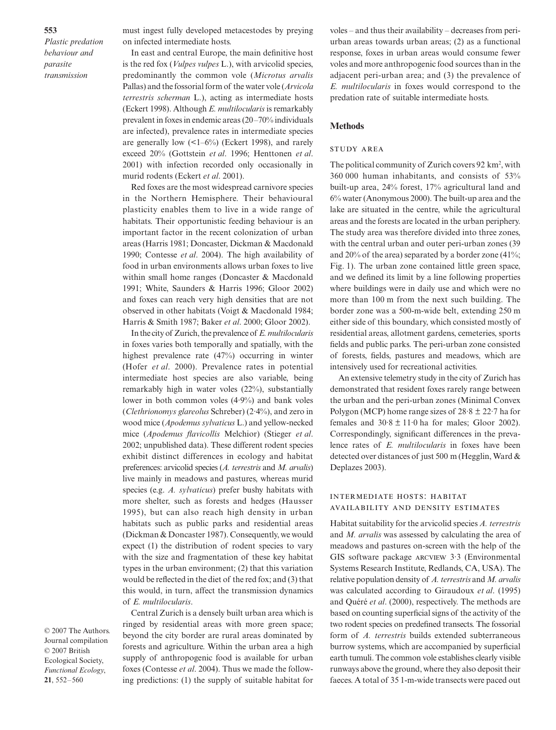*Plastic predation behaviour and parasite transmission*

must ingest fully developed metacestodes by preying on infected intermediate hosts.

In east and central Europe, the main definitive host is the red fox (*Vulpes vulpes* L.), with arvicolid species, predominantly the common vole (*Microtus arvalis* Pallas) and the fossorial form of the water vole (*Arvicola terrestris scherman* L.), acting as intermediate hosts (Eckert 1998). Although *E. multilocularis* is remarkably prevalent in foxes in endemic areas (20–70% individuals are infected), prevalence rates in intermediate species are generally low  $(1-6\%)$  (Eckert 1998), and rarely exceed 20% (Gottstein *et al*. 1996; Henttonen *et al*. 2001) with infection recorded only occasionally in murid rodents (Eckert *et al*. 2001).

Red foxes are the most widespread carnivore species in the Northern Hemisphere. Their behavioural plasticity enables them to live in a wide range of habitats. Their opportunistic feeding behaviour is an important factor in the recent colonization of urban areas (Harris 1981; Doncaster, Dickman & Macdonald 1990; Contesse *et al*. 2004). The high availability of food in urban environments allows urban foxes to live within small home ranges (Doncaster & Macdonald 1991; White, Saunders & Harris 1996; Gloor 2002) and foxes can reach very high densities that are not observed in other habitats (Voigt & Macdonald 1984; Harris & Smith 1987; Baker *et al*. 2000; Gloor 2002).

In the city of Zurich, the prevalence of *E. multilocularis* in foxes varies both temporally and spatially, with the highest prevalence rate (47%) occurring in winter (Hofer *et al*. 2000). Prevalence rates in potential intermediate host species are also variable, being remarkably high in water voles (22%), substantially lower in both common voles (4·9%) and bank voles (*Clethrionomys glareolus* Schreber) (2·4%), and zero in wood mice (*Apodemus sylvaticus* L.) and yellow-necked mice (*Apodemus flavicollis* Melchior) (Stieger *et al*. 2002; unpublished data). These different rodent species exhibit distinct differences in ecology and habitat preferences: arvicolid species (*A. terrestris* and *M. arvalis*) live mainly in meadows and pastures, whereas murid species (e.g. *A. sylvaticus*) prefer bushy habitats with more shelter, such as forests and hedges (Hausser 1995), but can also reach high density in urban habitats such as public parks and residential areas (Dickman & Doncaster 1987). Consequently, we would expect (1) the distribution of rodent species to vary with the size and fragmentation of these key habitat types in the urban environment; (2) that this variation would be reflected in the diet of the red fox; and (3) that this would, in turn, affect the transmission dynamics of *E. multilocularis*.

© 2007 The Authors. Journal compilation © 2007 British Ecological Society, *Functional Ecology*, **21**, 552–560

Central Zurich is a densely built urban area which is ringed by residential areas with more green space; beyond the city border are rural areas dominated by forests and agriculture. Within the urban area a high supply of anthropogenic food is available for urban foxes (Contesse *et al*. 2004). Thus we made the following predictions: (1) the supply of suitable habitat for

voles – and thus their availability – decreases from periurban areas towards urban areas; (2) as a functional response, foxes in urban areas would consume fewer voles and more anthropogenic food sources than in the adjacent peri-urban area; and (3) the prevalence of *E. multilocularis* in foxes would correspond to the predation rate of suitable intermediate hosts.

# **Methods**

# **STUDY AREA**

The political community of Zurich covers 92 km<sup>2</sup>, with 360 000 human inhabitants, and consists of 53% built-up area, 24% forest, 17% agricultural land and 6% water (Anonymous 2000). The built-up area and the lake are situated in the centre, while the agricultural areas and the forests are located in the urban periphery. The study area was therefore divided into three zones, with the central urban and outer peri-urban zones (39 and 20% of the area) separated by a border zone (41%; Fig. 1). The urban zone contained little green space, and we defined its limit by a line following properties where buildings were in daily use and which were no more than 100 m from the next such building. The border zone was a 500-m-wide belt, extending 250 m either side of this boundary, which consisted mostly of residential areas, allotment gardens, cemeteries, sports fields and public parks. The peri-urban zone consisted of forests, fields, pastures and meadows, which are intensively used for recreational activities.

An extensive telemetry study in the city of Zurich has demonstrated that resident foxes rarely range between the urban and the peri-urban zones (Minimal Convex Polygon (MCP) home range sizes of  $28.8 \pm 22.7$  ha for females and  $30.8 \pm 11.0$  ha for males; Gloor 2002). Correspondingly, significant differences in the prevalence rates of *E. multilocularis* in foxes have been detected over distances of just 500 m (Hegglin, Ward & Deplazes 2003).

# **INTERMEDIATE HOSTS: HABITAT** AVAILABILITY AND DENSITY ESTIMATES

Habitat suitability for the arvicolid species *A. terrestris* and *M. arvalis* was assessed by calculating the area of meadows and pastures on-screen with the help of the GIS software package  $\text{ARCVIEW}$  3.3 (Environmental Systems Research Institute, Redlands, CA, USA). The relative population density of *A. terrestris* and *M. arvalis* was calculated according to Giraudoux *et al*. (1995) and Quéré *et al*. (2000), respectively. The methods are based on counting superficial signs of the activity of the two rodent species on predefined transects. The fossorial form of *A. terrestris* builds extended subterraneous burrow systems, which are accompanied by superficial earth tumuli. The common vole establishes clearly visible runways above the ground, where they also deposit their faeces. A total of 35 1-m-wide transects were paced out

#### **553**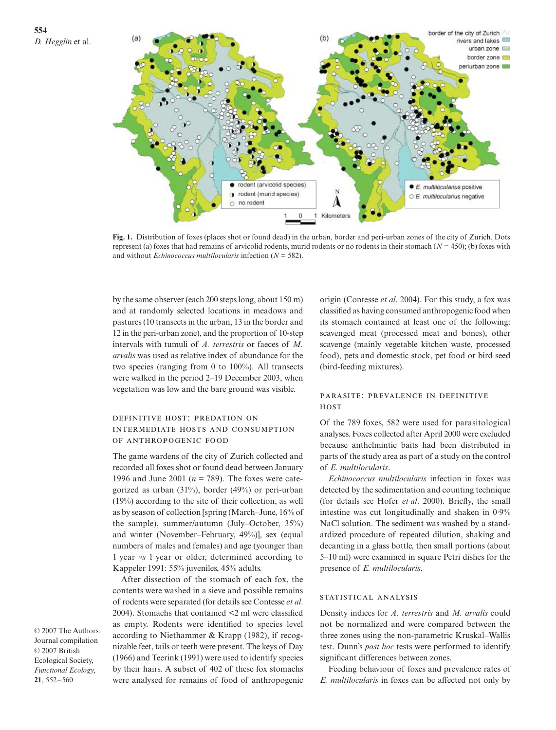

**Fig. 1.** Distribution of foxes (places shot or found dead) in the urban, border and peri-urban zones of the city of Zurich. Dots represent (a) foxes that had remains of arvicolid rodents, murid rodents or no rodents in their stomach (*N* = 450); (b) foxes with and without *Echinococcus multilocularis* infection (*N* = 582).

by the same observer (each 200 steps long, about 150 m) and at randomly selected locations in meadows and pastures (10 transects in the urban, 13 in the border and 12 in the peri-urban zone), and the proportion of 10-step intervals with tumuli of *A. terrestris* or faeces of *M. arvalis* was used as relative index of abundance for the two species (ranging from 0 to 100%). All transects were walked in the period 2–19 December 2003, when vegetation was low and the bare ground was visible.

# DEFINITIVE HOST: PREDATION ON INTERMEDIATE HOSTS AND CONSUMPTION OF ANTHROPOGENIC FOOD

The game wardens of the city of Zurich collected and recorded all foxes shot or found dead between January 1996 and June 2001 (*n* = 789). The foxes were categorized as urban (31%), border (49%) or peri-urban (19%) according to the site of their collection, as well as by season of collection [spring (March–June, 16% of the sample), summer/autumn (July–October, 35%) and winter (November–February, 49%)], sex (equal numbers of males and females) and age (younger than 1 year *vs* 1 year or older, determined according to Kappeler 1991: 55% juveniles, 45% adults.

After dissection of the stomach of each fox, the contents were washed in a sieve and possible remains of rodents were separated (for details see Contesse *et al*. 2004). Stomachs that contained <2 ml were classified as empty. Rodents were identified to species level according to Niethammer & Krapp (1982), if recognizable feet, tails or teeth were present. The keys of Day (1966) and Teerink (1991) were used to identify species by their hairs. A subset of 402 of these fox stomachs were analysed for remains of food of anthropogenic

origin (Contesse *et al*. 2004). For this study, a fox was classified as having consumed anthropogenic food when its stomach contained at least one of the following: scavenged meat (processed meat and bones), other scavenge (mainly vegetable kitchen waste, processed food), pets and domestic stock, pet food or bird seed (bird-feeding mixtures).

# PARASITE: PREVALENCE IN DEFINITIVE **HOST**

Of the 789 foxes, 582 were used for parasitological analyses. Foxes collected after April 2000 were excluded because anthelmintic baits had been distributed in parts of the study area as part of a study on the control of *E. multilocularis*.

*Echinococcus multilocularis* infection in foxes was detected by the sedimentation and counting technique (for details see Hofer *et al*. 2000). Briefly, the small intestine was cut longitudinally and shaken in 0·9% NaCl solution. The sediment was washed by a standardized procedure of repeated dilution, shaking and decanting in a glass bottle, then small portions (about 5–10 ml) were examined in square Petri dishes for the presence of *E. multilocularis*.

# STATISTICAL ANALYSIS

Density indices for *A. terrestris* and *M. arvalis* could not be normalized and were compared between the three zones using the non-parametric Kruskal–Wallis test. Dunn's *post hoc* tests were performed to identify significant differences between zones.

Feeding behaviour of foxes and prevalence rates of *E. multilocularis* in foxes can be affected not only by

© 2007 The Authors. Journal compilation © 2007 British Ecological Society, *Functional Ecology*, **21**, 552–560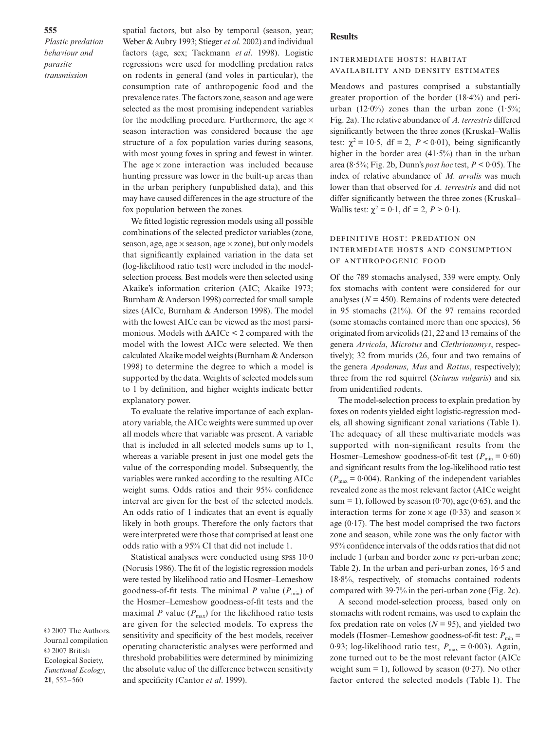*Plastic predation behaviour and parasite transmission*

spatial factors, but also by temporal (season, year; Weber & Aubry 1993; Stieger *et al*. 2002) and individual factors (age, sex; Tackmann *et al*. 1998). Logistic regressions were used for modelling predation rates on rodents in general (and voles in particular), the consumption rate of anthropogenic food and the prevalence rates. The factors zone, season and age were selected as the most promising independent variables for the modelling procedure. Furthermore, the age  $\times$ season interaction was considered because the age structure of a fox population varies during seasons, with most young foxes in spring and fewest in winter. The age  $\times$  zone interaction was included because hunting pressure was lower in the built-up areas than in the urban periphery (unpublished data), and this may have caused differences in the age structure of the fox population between the zones.

We fitted logistic regression models using all possible combinations of the selected predictor variables (zone, season, age, age  $\times$  season, age  $\times$  zone), but only models that significantly explained variation in the data set (log-likelihood ratio test) were included in the modelselection process. Best models were then selected using Akaike's information criterion (AIC; Akaike 1973; Burnham & Anderson 1998) corrected for small sample sizes (AICc, Burnham & Anderson 1998). The model with the lowest AICc can be viewed as the most parsimonious. Models with ∆AICc < 2 compared with the model with the lowest AICc were selected. We then calculated Akaike model weights (Burnham & Anderson 1998) to determine the degree to which a model is supported by the data. Weights of selected models sum to 1 by definition, and higher weights indicate better explanatory power.

To evaluate the relative importance of each explanatory variable, the AICc weights were summed up over all models where that variable was present. A variable that is included in all selected models sums up to 1, whereas a variable present in just one model gets the value of the corresponding model. Subsequently, the variables were ranked according to the resulting AICc weight sums. Odds ratios and their 95% confidence interval are given for the best of the selected models. An odds ratio of 1 indicates that an event is equally likely in both groups. Therefore the only factors that were interpreted were those that comprised at least one odds ratio with a 95% CI that did not include 1.

Statistical analyses were conducted using  $SPSS 10-0$ (Norusis 1986). The fit of the logistic regression models were tested by likelihood ratio and Hosmer–Lemeshow goodness-of-fit tests. The minimal *P* value ( $P_{\text{min}}$ ) of the Hosmer–Lemeshow goodness-of-fit tests and the maximal *P* value  $(P_{\text{max}})$  for the likelihood ratio tests are given for the selected models. To express the sensitivity and specificity of the best models, receiver operating characteristic analyses were performed and threshold probabilities were determined by minimizing the absolute value of the difference between sensitivity and specificity (Cantor *et al*. 1999).

© 2007 The Authors. Journal compilation © 2007 British Ecological Society, *Functional Ecology*, **21**, 552–560

### **Results**

# **INTERMEDIATE HOSTS: HABITAT** AVAILABILITY AND DENSITY ESTIMATES

Meadows and pastures comprised a substantially greater proportion of the border (18·4%) and periurban (12 $\cdot$ 0%) zones than the urban zone (1 $\cdot$ 5%; Fig. 2a). The relative abundance of *A. terrestris* differed significantly between the three zones (Kruskal–Wallis test:  $\chi^2 = 10.5$ , df = 2,  $P < 0.01$ ), being significantly higher in the border area (41·5%) than in the urban area (8·5%; Fig. 2b, Dunn's *post hoc* test, *P* < 0·05). The index of relative abundance of *M. arvalis* was much lower than that observed for *A. terrestris* and did not differ significantly between the three zones (Kruskal– Wallis test:  $\chi^2 = 0.1$ , df = 2,  $P > 0.1$ ).

# DEFINITIVE HOST: PREDATION ON INTERMEDIATE HOSTS AND CONSUMPTION OF ANTHROPOGENIC FOOD

Of the 789 stomachs analysed, 339 were empty. Only fox stomachs with content were considered for our analyses ( $N = 450$ ). Remains of rodents were detected in 95 stomachs (21%). Of the 97 remains recorded (some stomachs contained more than one species), 56 originated from arvicolids (21, 22 and 13 remains of the genera *Arvicola*, *Microtus* and *Clethrionomys*, respectively); 32 from murids (26, four and two remains of the genera *Apodemus*, *Mus* and *Rattus*, respectively); three from the red squirrel (*Sciurus vulgaris*) and six from unidentified rodents.

The model-selection process to explain predation by foxes on rodents yielded eight logistic-regression models, all showing significant zonal variations (Table 1). The adequacy of all these multivariate models was supported with non-significant results from the Hosmer–Lemeshow goodness-of-fit test  $(P_{\min} = 0.60)$ and significant results from the log-likelihood ratio test  $(P_{\text{max}} = 0.004)$ . Ranking of the independent variables revealed zone as the most relevant factor (AICc weight sum = 1), followed by season (0.70), age (0.65), and the interaction terms for zone  $\times$  age (0.33) and season  $\times$ age  $(0.17)$ . The best model comprised the two factors zone and season, while zone was the only factor with 95% confidence intervals of the odds ratios that did not include 1 (urban and border zone *vs* peri-urban zone; Table 2). In the urban and peri-urban zones, 16·5 and 18·8%, respectively, of stomachs contained rodents compared with 39·7% in the peri-urban zone (Fig. 2c).

A second model-selection process, based only on stomachs with rodent remains, was used to explain the fox predation rate on voles ( $N = 95$ ), and yielded two models (Hosmer–Lemeshow goodness-of-fit test:  $P_{\min}$  = 0.93; log-likelihood ratio test,  $P_{\text{max}} = 0.003$ ). Again, zone turned out to be the most relevant factor (AICc weight sum = 1), followed by season  $(0.27)$ . No other factor entered the selected models (Table 1). The

#### **555**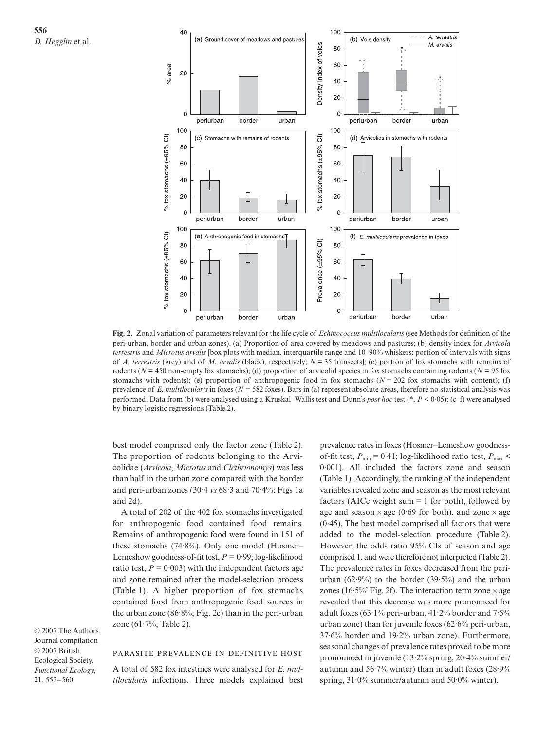

**Fig. 2.** Zonal variation of parameters relevant for the life cycle of *Echinococcus multilocularis* (see Methods for definition of the peri-urban, border and urban zones). (a) Proportion of area covered by meadows and pastures; (b) density index for *Arvicola terrestris* and *Microtus arvalis* [box plots with median, interquartile range and 10–90% whiskers: portion of intervals with signs of *A. terrestris* (grey) and of *M. arvalis* (black), respectively; *N* = 35 transects]; (c) portion of fox stomachs with remains of rodents ( $N = 450$  non-empty fox stomachs); (d) proportion of arvicolid species in fox stomachs containing rodents ( $N = 95$  fox stomachs with rodents); (e) proportion of anthropogenic food in fox stomachs ( $N = 202$  fox stomachs with content); (f) prevalence of *E. multilocularis* in foxes (*N* = 582 foxes). Bars in (a) represent absolute areas, therefore no statistical analysis was performed. Data from (b) were analysed using a Kruskal–Wallis test and Dunn's *post hoc* test (\*, *P* < 0·05); (c–f) were analysed by binary logistic regressions (Table 2).

best model comprised only the factor zone (Table 2). The proportion of rodents belonging to the Arvicolidae (*Arvicola*, *Microtus* and *Clethrionomys*) was less than half in the urban zone compared with the border and peri-urban zones (30·4 *vs* 68·3 and 70·4%; Figs 1a and 2d).

A total of 202 of the 402 fox stomachs investigated for anthropogenic food contained food remains. Remains of anthropogenic food were found in 151 of these stomachs (74·8%). Only one model (Hosmer– Lemeshow goodness-of-fit test, *P* = 0·99; log-likelihood ratio test,  $P = 0.003$ ) with the independent factors age and zone remained after the model-selection process (Table 1). A higher proportion of fox stomachs contained food from anthropogenic food sources in the urban zone (86·8%; Fig. 2e) than in the peri-urban zone  $(61.7\%;$  Table 2).

© 2007 The Authors. Journal compilation © 2007 British Ecological Society, *Functional Ecology*, **21**, 552–560

# PARASITE PREVALENCE IN DEFINITIVE HOST

A total of 582 fox intestines were analysed for *E. multilocularis* infections. Three models explained best prevalence rates in foxes (Hosmer–Lemeshow goodnessof-fit test,  $P_{\text{min}} = 0.41$ ; log-likelihood ratio test,  $P_{\text{max}}$  < 0·001). All included the factors zone and season (Table 1). Accordingly, the ranking of the independent variables revealed zone and season as the most relevant factors (AICc weight sum  $= 1$  for both), followed by age and season  $\times$  age (0.69 for both), and zone  $\times$  age (0·45). The best model comprised all factors that were added to the model-selection procedure (Table 2). However, the odds ratio 95% CIs of season and age comprised 1, and were therefore not interpreted (Table 2). The prevalence rates in foxes decreased from the periurban  $(62.9\%)$  to the border  $(39.5\%)$  and the urban zones (16·5%' Fig. 2f). The interaction term zone  $\times$  age revealed that this decrease was more pronounced for adult foxes (63 $\cdot$ 1% peri-urban, 41 $\cdot$ 2% border and 7 $\cdot$ 5% urban zone) than for juvenile foxes (62·6% peri-urban, 37·6% border and 19·2% urban zone). Furthermore, seasonal changes of prevalence rates proved to be more pronounced in juvenile (13·2% spring, 20·4% summer/ autumn and 56·7% winter) than in adult foxes (28·9% spring, 31·0% summer/autumn and 50·0% winter).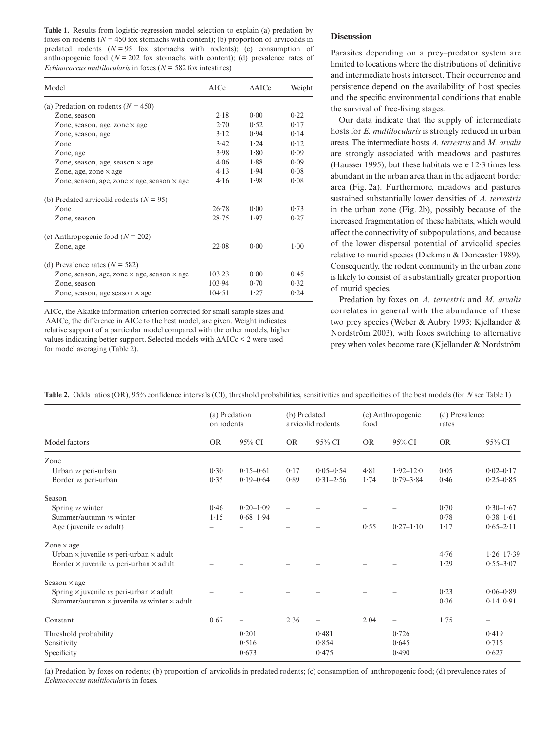**557 Table 1.** Results from logistic-regression model selection to explain (a) predation by foxes on rodents ( $N = 450$  fox stomachs with content); (b) proportion of arvicolids in predated rodents  $(N - 55)$  fox stomachs with rodents), (c) consumption or anthropogenic food  $(N = 202)$  fox stomachs with content); (d) prevalence rates of *Echinococcus multilocularis* in foxes  $(N = 582$  fox intestines) predated rodents  $(N = 95$  fox stomachs with rodents); (c) consumption of

| Model                                                     | AICc   | $\triangle AICc$ | Weight |  |
|-----------------------------------------------------------|--------|------------------|--------|--|
| (a) Predation on rodents ( $N = 450$ )                    |        |                  |        |  |
| Zone, season                                              | 2.18   | 0.00             | 0.22   |  |
| Zone, season, age, zone $\times$ age                      | 2.70   | 0.52             | 0.17   |  |
| Zone, season, age                                         | 3.12   | 0.94             | 0.14   |  |
| Zone                                                      | 3.42   | 1.24             | 0.12   |  |
| Zone, age                                                 | 3.98   | 1.80             | 0.09   |  |
| Zone, season, age, season $\times$ age                    | 4.06   | 1.88             | 0.09   |  |
| Zone, age, zone $\times$ age                              | 4.13   | 1.94             | 0.08   |  |
| Zone, season, age, zone $\times$ age, season $\times$ age | 4.16   | 1.98             | 0.08   |  |
| (b) Predated arvicolid rodents ( $N = 95$ )               |        |                  |        |  |
| Zone                                                      | 26.78  | 0.00             | 0.73   |  |
| Zone, season                                              | 28.75  | 1.97             | 0.27   |  |
| (c) Anthropogenic food $(N = 202)$                        |        |                  |        |  |
| Zone, age                                                 | 22.08  | 0.00             | 1.00   |  |
| (d) Prevalence rates ( $N = 582$ )                        |        |                  |        |  |
| Zone, season, age, zone $\times$ age, season $\times$ age | 103.23 | 0.00             | 0.45   |  |
| Zone, season                                              | 103.94 | 0.70             | 0.32   |  |
| Zone, season, age season $\times$ age                     | 104.51 | 1.27             | 0.24   |  |

AICc, the Akaike information criterion corrected for small sample sizes and ∆AICc, the difference in AICc to the best model, are given. Weight indicates relative support of a particular model compared with the other models, higher values indicating better support. Selected models with ∆AICc < 2 were used for model averaging (Table 2).

# **Discussion**

Parasites depending on a prey–predator system are limited to locations where the distributions of definitive and intermediate hosts intersect. Their occurrence and persistence depend on the availability of host species and the specific environmental conditions that enable the survival of free-living stages.

Our data indicate that the supply of intermediate hosts for *E. multilocularis* is strongly reduced in urban areas. The intermediate hosts *A. terrestris* and *M. arvalis* are strongly associated with meadows and pastures (Hausser 1995), but these habitats were 12·3 times less abundant in the urban area than in the adjacent border area (Fig. 2a). Furthermore, meadows and pastures sustained substantially lower densities of *A. terrestris* in the urban zone (Fig. 2b), possibly because of the increased fragmentation of these habitats, which would affect the connectivity of subpopulations, and because of the lower dispersal potential of arvicolid species relative to murid species (Dickman & Doncaster 1989). Consequently, the rodent community in the urban zone is likely to consist of a substantially greater proportion of murid species.

Predation by foxes on *A. terrestris* and *M. arvalis* correlates in general with the abundance of these two prey species (Weber & Aubry 1993; Kjellander & Nordström 2003), with foxes switching to alternative prey when voles become rare (Kjellander & Nordström

| Table 2. Odds ratios (OR), 95% confidence intervals (CI), threshold probabilities, sensitivities and specificities of the best models (for N see Table 1) |
|-----------------------------------------------------------------------------------------------------------------------------------------------------------|
|-----------------------------------------------------------------------------------------------------------------------------------------------------------|

| Model factors                                               | (a) Predation<br>on rodents |                          | (b) Predated<br>arvicolid rodents |                          | (c) Anthropogenic<br>food |                          | (d) Prevalence<br>rates |                |
|-------------------------------------------------------------|-----------------------------|--------------------------|-----------------------------------|--------------------------|---------------------------|--------------------------|-------------------------|----------------|
|                                                             | <b>OR</b>                   | 95% CI                   | <b>OR</b>                         | 95% CI                   | <b>OR</b>                 | 95% CI                   | <b>OR</b>               | 95% CI         |
| Zone                                                        |                             |                          |                                   |                          |                           |                          |                         |                |
| Urban vs peri-urban                                         | 0.30                        | $0.15 - 0.61$            | 0.17                              | $0.05 - 0.54$            | 4.81                      | $1.92 - 12.0$            | 0.05                    | $0.02 - 0.17$  |
| Border vs peri-urban                                        | 0.35                        | $0.19 - 0.64$            | 0.89                              | $0.31 - 2.56$            | 1.74                      | $0.79 - 3.84$            | 0.46                    | $0.25 - 0.85$  |
| Season                                                      |                             |                          |                                   |                          |                           |                          |                         |                |
| Spring vs winter                                            | 0.46                        | $0.20 - 1.09$            |                                   |                          |                           |                          | 0.70                    | $0.30 - 1.67$  |
| Summer/autumn vs winter                                     | 1.15                        | $0.68 - 1.94$            |                                   |                          |                           |                          | 0.78                    | $0.38 - 1.61$  |
| Age (juvenile vs adult)                                     |                             |                          |                                   |                          | 0.55                      | $0.27 - 1.10$            | 1.17                    | $0.65 - 2.11$  |
| Zone $\times$ age                                           |                             |                          |                                   |                          |                           |                          |                         |                |
| Urban $\times$ juvenile <i>vs</i> peri-urban $\times$ adult |                             |                          |                                   |                          |                           |                          | 4.76                    | $1.26 - 17.39$ |
| Border $\times$ juvenile vs peri-urban $\times$ adult       |                             |                          |                                   |                          |                           |                          | 1.29                    | $0.55 - 3.07$  |
| Season $\times$ age                                         |                             |                          |                                   |                          |                           |                          |                         |                |
| Spring $\times$ juvenile vs peri-urban $\times$ adult       |                             |                          |                                   |                          |                           |                          | 0.23                    | $0.06 - 0.89$  |
| Summer/autumn $\times$ juvenile vs winter $\times$ adult    |                             |                          |                                   |                          |                           |                          | 0.36                    | $0.14 - 0.91$  |
| Constant                                                    | 0.67                        | $\overline{\phantom{0}}$ | 2.36                              | $\overline{\phantom{0}}$ | 2.04                      | $\overline{\phantom{0}}$ | 1.75                    |                |
| Threshold probability                                       |                             | 0.201                    |                                   | 0.481                    |                           | 0.726                    |                         | 0.419          |
| Sensitivity                                                 |                             | 0.516                    |                                   | 0.854                    |                           | 0.645                    |                         | 0.715          |
| Specificity                                                 |                             | 0.673                    |                                   | 0.475                    |                           | 0.490                    |                         | 0.627          |

*Functional Ecology*, (a) Predation by foxes on rodents; (b) proportion of arvicolids in predated rodents; (c) consumption of anthropogenic food; (d) prevalence rates of **21**, 552–560 *Echinococcus multilocularis* in foxes.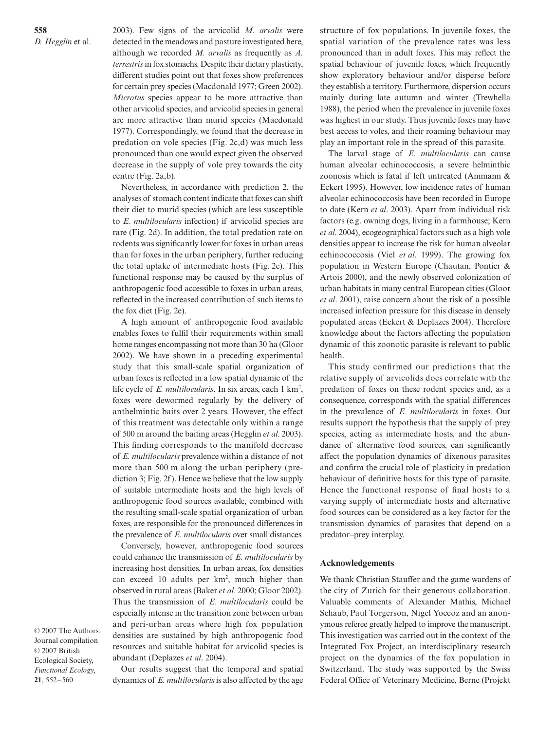2003). Few signs of the arvicolid *M. arvalis* were detected in the meadows and pasture investigated here, although we recorded *M. arvalis* as frequently as *A. terrestris* in fox stomachs. Despite their dietary plasticity, different studies point out that foxes show preferences for certain prey species (Macdonald 1977; Green 2002). *Microtus* species appear to be more attractive than other arvicolid species, and arvicolid species in general are more attractive than murid species (Macdonald 1977). Correspondingly, we found that the decrease in predation on vole species (Fig. 2c,d) was much less pronounced than one would expect given the observed decrease in the supply of vole prey towards the city centre (Fig. 2a,b).

Nevertheless, in accordance with prediction 2, the analyses of stomach content indicate that foxes can shift their diet to murid species (which are less susceptible to *E. multilocularis* infection) if arvicolid species are rare (Fig. 2d). In addition, the total predation rate on rodents was significantly lower for foxes in urban areas than for foxes in the urban periphery, further reducing the total uptake of intermediate hosts (Fig. 2c). This functional response may be caused by the surplus of anthropogenic food accessible to foxes in urban areas, reflected in the increased contribution of such items to the fox diet (Fig. 2e).

A high amount of anthropogenic food available enables foxes to fulfil their requirements within small home ranges encompassing not more than 30 ha (Gloor 2002). We have shown in a preceding experimental study that this small-scale spatial organization of urban foxes is reflected in a low spatial dynamic of the life cycle of *E. multilocularis*. In six areas, each 1 km<sup>2</sup>, foxes were dewormed regularly by the delivery of anthelmintic baits over 2 years. However, the effect of this treatment was detectable only within a range of 500 m around the baiting areas (Hegglin *et al*. 2003). This finding corresponds to the manifold decrease of *E. multilocularis* prevalence within a distance of not more than 500 m along the urban periphery (prediction 3; Fig. 2f). Hence we believe that the low supply of suitable intermediate hosts and the high levels of anthropogenic food sources available, combined with the resulting small-scale spatial organization of urban foxes, are responsible for the pronounced differences in the prevalence of *E. multilocularis* over small distances.

Conversely, however, anthropogenic food sources could enhance the transmission of *E. multilocularis* by increasing host densities. In urban areas, fox densities can exceed 10 adults per  $km^2$ , much higher than observed in rural areas (Baker *et al*. 2000; Gloor 2002). Thus the transmission of *E. multilocularis* could be especially intense in the transition zone between urban and peri-urban areas where high fox population densities are sustained by high anthropogenic food resources and suitable habitat for arvicolid species is abundant (Deplazes *et al*. 2004).

© 2007 The Authors. Journal compilation © 2007 British Ecological Society, *Functional Ecology*, **21**, 552–560

Our results suggest that the temporal and spatial dynamics of *E. multilocularis*is also affected by the age structure of fox populations. In juvenile foxes, the spatial variation of the prevalence rates was less pronounced than in adult foxes. This may reflect the spatial behaviour of juvenile foxes, which frequently show exploratory behaviour and/or disperse before they establish a territory. Furthermore, dispersion occurs mainly during late autumn and winter (Trewhella 1988), the period when the prevalence in juvenile foxes was highest in our study. Thus juvenile foxes may have best access to voles, and their roaming behaviour may play an important role in the spread of this parasite.

The larval stage of *E. multilocularis* can cause human alveolar echinococcosis, a severe helminthic zoonosis which is fatal if left untreated (Ammann & Eckert 1995). However, low incidence rates of human alveolar echinococcosis have been recorded in Europe to date (Kern *et al*. 2003). Apart from individual risk factors (e.g. owning dogs, living in a farmhouse; Kern *et al*. 2004), ecogeographical factors such as a high vole densities appear to increase the risk for human alveolar echinococcosis (Viel *et al*. 1999). The growing fox population in Western Europe (Chautan, Pontier & Artois 2000), and the newly observed colonization of urban habitats in many central European cities (Gloor *et al*. 2001), raise concern about the risk of a possible increased infection pressure for this disease in densely populated areas (Eckert & Deplazes 2004). Therefore knowledge about the factors affecting the population dynamic of this zoonotic parasite is relevant to public health.

This study confirmed our predictions that the relative supply of arvicolids does correlate with the predation of foxes on these rodent species and, as a consequence, corresponds with the spatial differences in the prevalence of *E. multilocularis* in foxes. Our results support the hypothesis that the supply of prey species, acting as intermediate hosts, and the abundance of alternative food sources, can significantly affect the population dynamics of dixenous parasites and confirm the crucial role of plasticity in predation behaviour of definitive hosts for this type of parasite. Hence the functional response of final hosts to a varying supply of intermediate hosts and alternative food sources can be considered as a key factor for the transmission dynamics of parasites that depend on a predator–prey interplay.

#### **Acknowledgements**

We thank Christian Stauffer and the game wardens of the city of Zurich for their generous collaboration. Valuable comments of Alexander Mathis, Michael Schaub, Paul Torgerson, Nigel Yoccoz and an anonymous referee greatly helped to improve the manuscript. This investigation was carried out in the context of the Integrated Fox Project, an interdisciplinary research project on the dynamics of the fox population in Switzerland. The study was supported by the Swiss Federal Office of Veterinary Medicine, Berne (Projekt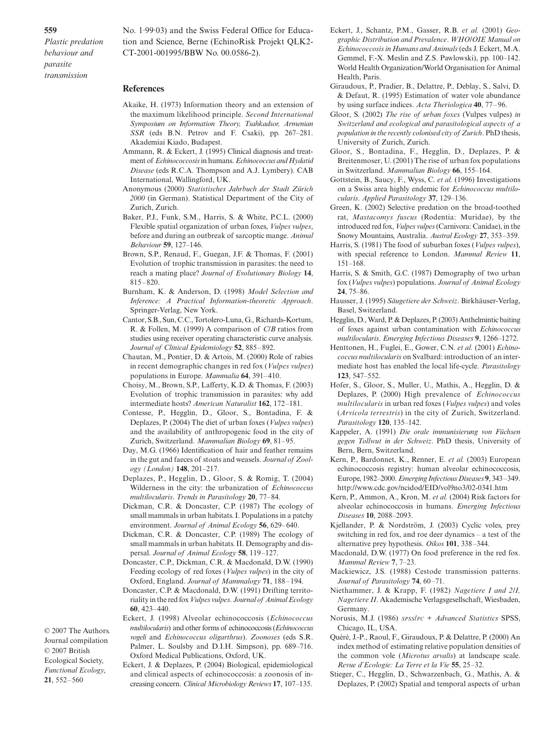**559** *Plastic predation behaviour and parasite transmission*

No. 1·99·03) and the Swiss Federal Office for Education and Science, Berne (EchinoRisk Projekt QLK2- CT-2001-001995/BBW No. 00.0586-2).

#### **References**

- Akaike, H. (1973) Information theory and an extension of the maximum likelihood principle. *Second International Symposium on Information Theory, Tsahkadsor, Armenian SSR* (eds B.N. Petrov and F. Csaki), pp. 267–281. Akademiai Kiado, Budapest.
- Ammann, R. & Eckert, J. (1995) Clinical diagnosis and treatment of *Echinococcosis*in humans. *Echinococcus and Hydatid Disease* (eds R.C.A. Thompson and A.J. Lymbery). CAB International, Wallingford, UK.
- Anonymous (2000) *Statistisches Jahrbuch der Stadt Zürich 2000* (in German). Statistical Department of the City of Zurich, Zurich.
- Baker, P.J., Funk, S.M., Harris, S. & White, P.C.L. (2000) Flexible spatial organization of urban foxes, *Vulpes vulpes*, before and during an outbreak of sarcoptic mange. *Animal Behaviour* **59**, 127–146.
- Brown, S.P., Renaud, F., Guegan, J.F. & Thomas, F. (2001) Evolution of trophic transmission in parasites: the need to reach a mating place? *Journal of Evolutionary Biology* **14**, 815–820.
- Burnham, K. & Anderson, D. (1998) *Model Selection and Inference: A Practical Information-theoretic Approach*. Springer-Verlag, New York.
- Cantor, S.B., Sun, C.C., Tortolero-Luna, G., Richards-Kortum, R. & Follen, M. (1999) A comparison of *C*/*B* ratios from studies using receiver operating characteristic curve analysis. *Journal of Clinical Epidemiology* **52**, 885–892.
- Chautan, M., Pontier, D. & Artois, M. (2000) Role of rabies in recent demographic changes in red fox (*Vulpes vulpes*) populations in Europe. *Mammalia* **64**, 391–410.
- Choisy, M., Brown, S.P., Lafferty, K.D. & Thomas, F. (2003) Evolution of trophic transmission in parasites: why add intermediate hosts? *American Naturalist* **162**, 172–181.
- Contesse, P., Hegglin, D., Gloor, S., Bontadina, F. & Deplazes, P. (2004) The diet of urban foxes (*Vulpes vulpes*) and the availability of anthropogenic food in the city of Zurich, Switzerland. *Mammalian Biology* **69**, 81–95.
- Day, M.G. (1966) Identification of hair and feather remains in the gut and faeces of stoats and weasels. *Journal of Zoology (London)* **148**, 201–217.
- Deplazes, P., Hegglin, D., Gloor, S. & Romig, T. (2004) Wilderness in the city: the urbanization of *Echinococcus multilocularis*. *Trends in Parasitology* **20**, 77–84.
- Dickman, C.R. & Doncaster, C.P. (1987) The ecology of small mammals in urban habitats. I. Populations in a patchy environment. *Journal of Animal Ecology* **56**, 629–640.
- Dickman, C.R. & Doncaster, C.P. (1989) The ecology of small mammals in urban habitats. II. Demography and dispersal. *Journal of Animal Ecology* **58**, 119–127.
- Doncaster, C.P., Dickman, C.R. & Macdonald, D.W. (1990) Feeding ecology of red foxes (*Vulpes vulpes*) in the city of Oxford, England. *Journal of Mammalogy* **71**, 188–194.
- Doncaster, C.P. & Macdonald, D.W. (1991) Drifting territoriality in the red fox *Vulpes vulpes*. *Journal of Animal Ecology* **60**, 423–440.
- Eckert, J. (1998) Alveolar echinococcosis (*Echinococcus multilocularis*) and other forms of echinococcosis (*Echinococcus vogeli* and *Echinococcus oligarthrus*). *Zoonoses* (eds S.R. Palmer, L. Soulsby and D.I.H. Simpson), pp. 689–716. Oxford Medical Publications, Oxford, UK.
- Eckert, J. & Deplazes, P. (2004) Biological, epidemiological and clinical aspects of echinococcosis: a zoonosis of increasing concern. *Clinical Microbiology Reviews* **17**, 107–135.
- Eckert, J., Schantz, P.M., Gasser, R.B. *et al.* (2001) *Geographic Distribution and Prevalence*. *WHO/OIE Manual on Echinococcosis in Humans and Animals* (eds J. Eckert, M.A. Gemmel, F.-X. Meslin and Z.S. Pawlowski), pp. 100–142. World Health Organization/World Organisation for Animal Health, Paris.
- Giraudoux, P., Pradier, B., Delattre, P., Deblay, S., Salvi, D. & Defaut, R. (1995) Estimation of water vole abundance by using surface indices. *Acta Theriologica* **40**, 77–96.
- Gloor, S. (2002) *The rise of urban foxes* (Vulpes vulpes) *in Switzerland and ecological and parasitological aspects of a population in the recently colonised city of Zurich*. PhD thesis, University of Zurich, Zurich.
- Gloor, S., Bontadina, F., Hegglin, D., Deplazes, P. & Breitenmoser, U. (2001) The rise of urban fox populations in Switzerland. *Mammalian Biology* **66**, 155–164.
- Gottstein, B., Saucy, F., Wyss, C. *et al.* (1996) Investigations on a Swiss area highly endemic for *Echinococcus multilocularis*. *Applied Parasitology* **37**, 129–136.
- Green, K. (2002) Selective predation on the broad-toothed rat, *Mastacomys fuscus* (Rodentia: Muridae), by the introduced red fox, *Vulpes vulpes*(Carnivora: Canidae), in the Snowy Mountains, Australia. *Austral Ecology* **27**, 353–359.
- Harris, S. (1981) The food of suburban foxes (*Vulpes vulpes*), with special reference to London. *Mammal Review* **11**, 151–168.
- Harris, S. & Smith, G.C. (1987) Demography of two urban fox (*Vulpes vulpes*) populations. *Journal of Animal Ecology* **24**, 75–86.
- Hausser, J. (1995) *Säugetiere der Schweiz*. Birkhäuser-Verlag, Basel, Switzerland.
- Hegglin, D., Ward, P. & Deplazes, P. (2003) Anthelmintic baiting of foxes against urban contamination with *Echinococcus multilocularis*. *Emerging Infectious Diseases* **9**, 1266–1272.
- Henttonen, H., Fuglei, E., Gower, C.N. *et al.* (2001) *Echinococcus multilocularis* on Svalbard: introduction of an intermediate host has enabled the local life-cycle. *Parasitology* **123**, 547–552.
- Hofer, S., Gloor, S., Muller, U., Mathis, A., Hegglin, D. & Deplazes, P. (2000) High prevalence of *Echinococcus multilocularis* in urban red foxes (*Vulpes vulpes*) and voles (*Arvicola terrestris*) in the city of Zurich, Switzerland. *Parasitology* **120**, 135–142.
- Kappeler, A. (1991) *Die orale immunisierung von Füchsen gegen Tollwut in der Schweiz*. PhD thesis, University of Bern, Bern, Switzerland.
- Kern, P., Bardonnet, K., Renner, E. *et al.* (2003) European echinococcosis registry: human alveolar echinococcosis, Europe, 1982–2000. *Emerging Infectious Diseases* **9**, 343–349. <http://www.cdc.gov/ncidod/EID/vol9no3/02-0341.htm>
- Kern, P., Ammon, A., Kron, M. *et al.* (2004) Risk factors for alveolar echinococcosis in humans. *Emerging Infectious Diseases* **10**, 2088–2093.
- Kjellander, P. & Nordström, J. (2003) Cyclic voles, prey switching in red fox, and roe deer dynamics – a test of the alternative prey hypothesis. *Oikos* **101**, 338–344.
- Macdonald, D.W. (1977) On food preference in the red fox. *Mammal Review* **7**, 7–23.
- Mackiewicz, J.S. (1988) Cestode transmission patterns. *Journal of Parasitology* **74**, 60–71.
- Niethammer, J. & Krapp, F. (1982) *Nagetiere I and 2/I, Nagetiere II*. Akademische Verlagsgesellschaft, Wiesbaden, Germany.
- Norusis, M.J. (1986) *SPSS/PC + Advanced Statistics* SPSS, Chicago, IL, USA.
- Quéré, J.-P., Raoul, F., Giraudoux, P. & Delattre, P. (2000) An index method of estimating relative population densities of the common vole (*Microtus arvalis*) at landscape scale. *Revue d'Ecologie: La Terre et la Vie* **55**, 25–32.
- Stieger, C., Hegglin, D., Schwarzenbach, G., Mathis, A. & Deplazes, P. (2002) Spatial and temporal aspects of urban

© 2007 The Authors. Journal compilation © 2007 British Ecological Society, *Functional Ecology*, **21**, 552–560